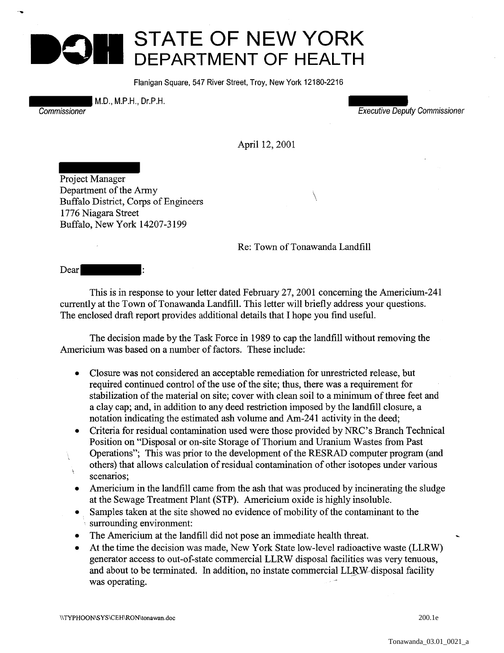## **STATE OF NEW YORK DEPARTMENT OF HEALTH**

Flanigan Square, 547 River Street, Troy, New York 12180-2216

M.D., M.P.H., Dr.P.H.

-~

Commissioner Executive Deputy Commissioner

April 12,2001

Project Manager Department of the Army Buffalo District, Corps of Engineers 1776 Niagara Street Buffalo, New York 14207-3199

## Re: Town of Tonawanda Landfill

 $\setminus$ 

Dear

This is in response to your letter dated February 27, 2001 concerning the Americium-241 currently at the Town of Tonawanda Landfill. This letter will briefly address your questions. The enclosed draft report provides additional details that I hope you find useful.

The decision made by the Task Force in 1989 to cap the landfill without removing the Americium was based on a number of factors. These include:

- Closure was not considered an acceptable remediation for unrestricted release, but required continued control of the use of the site; thus, there was a requirement for stabilization of the material on site; cover with clean soil to a minimum of three feet and a clay cap; and, in addition to any deed restriction imposed by the landfill closure, a notation indicating the estimated ash volume and Am-241 activity in the deed;
- Criteria for residual contamination used were those provided by NRC's Branch Technical Position on "Disposal or on-site Storage of Thorium and Uranium Wastes from Past Operations"; This was prior to the development of the RESRAD computer program (and others) that allows calculation of residual contamination of other isotopes under various scenarios:
- Americium in the landfill came from the ash that was produced by incinerating the sludge at the Sewage Treatment Plant (STP). Americium oxide is highly insoluble.
- Samples taken at the site showed no evidence of mobility of the contaminant to the ·. surrounding environment:
- The Americium at the landfill did not pose an immediate health threat.
- At the time the decision was made, New York State low-level radioactive waste (LLRW) generator access to out-of-state commercial LLRW disposal facilities was very tenuous, and about to be terminated. In addition, no instate commercial LLRW-disposal facility was operating.